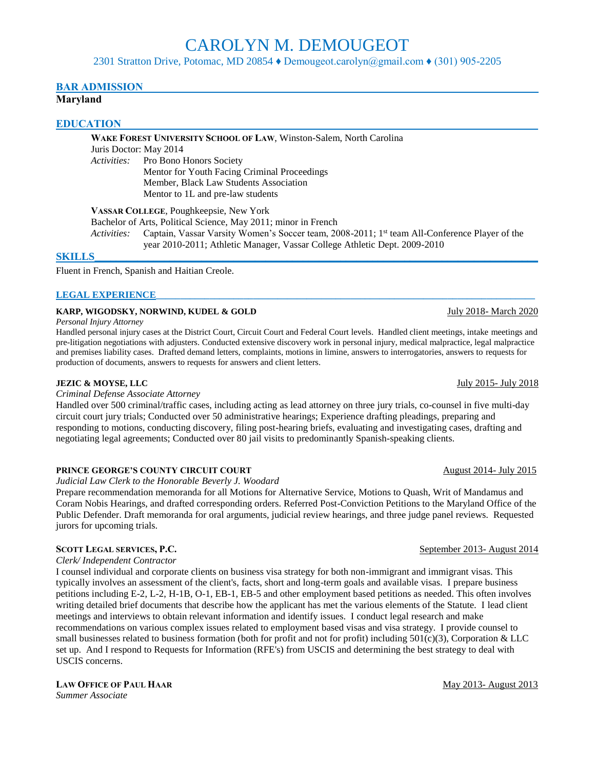# CAROLYN M. DEMOUGEOT

2301 Stratton Drive, Potomac, MD 20854  $\blacklozenge$  Demougeot.carolyn $\omega$ gmail.com  $\blacklozenge$  (301) 905-2205

# **BAR ADMISSION**

**Maryland**

### **EDUCATION**

**WAKE FOREST UNIVERSITY SCHOOL OF LAW**, Winston-Salem, North Carolina Juris Doctor: May 2014 *Activities:* Pro Bono Honors Society Mentor for Youth Facing Criminal Proceedings Member, Black Law Students Association Mentor to 1L and pre-law students

**VASSAR COLLEGE**, Poughkeepsie, New York

Bachelor of Arts, Political Science, May 2011; minor in French

Activities: Captain, Vassar Varsity Women's Soccer team, 2008-2011; 1<sup>st</sup> team All-Conference Player of the year 2010-2011; Athletic Manager, Vassar College Athletic Dept. 2009-2010

### **SKILLS\_\_\_\_\_\_\_\_\_\_\_\_\_\_\_\_\_\_\_\_\_\_\_\_\_\_\_\_\_\_\_\_\_\_\_\_\_\_\_\_\_\_\_\_\_\_\_\_\_\_\_\_\_\_\_\_\_\_\_\_\_\_\_\_\_\_\_\_\_\_\_\_\_\_\_\_\_\_\_\_\_\_\_**

Fluent in French, Spanish and Haitian Creole.

#### LEGAL EXPERIENCE

#### **KARP, WIGODSKY, NORWIND, KUDEL & GOLD** July 2018- March 2020

*Personal Injury Attorney*

Handled personal injury cases at the District Court, Circuit Court and Federal Court levels. Handled client meetings, intake meetings and pre-litigation negotiations with adjusters. Conducted extensive discovery work in personal injury, medical malpractice, legal malpractice and premises liability cases. Drafted demand letters, complaints, motions in limine, answers to interrogatories, answers to requests for production of documents, answers to requests for answers and client letters.

#### **JEZIC & MOYSE, LLC** July 2015- July 2018

#### *Criminal Defense Associate Attorney*

Handled over 500 criminal/traffic cases, including acting as lead attorney on three jury trials, co-counsel in five multi-day circuit court jury trials; Conducted over 50 administrative hearings; Experience drafting pleadings, preparing and responding to motions, conducting discovery, filing post-hearing briefs, evaluating and investigating cases, drafting and negotiating legal agreements; Conducted over 80 jail visits to predominantly Spanish-speaking clients.

### **PRINCE GEORGE'S COUNTY CIRCUIT COURT August 2014- July 2015**

*Judicial Law Clerk to the Honorable Beverly J. Woodard* 

Prepare recommendation memoranda for all Motions for Alternative Service, Motions to Quash, Writ of Mandamus and Coram Nobis Hearings, and drafted corresponding orders. Referred Post-Conviction Petitions to the Maryland Office of the Public Defender. Draft memoranda for oral arguments, judicial review hearings, and three judge panel reviews. Requested jurors for upcoming trials.

### **SCOTT LEGAL SERVICES, P.C. September 2013- August 2014**

*Clerk/ Independent Contractor*

I counsel individual and corporate clients on business visa strategy for both non-immigrant and immigrant visas. This typically involves an assessment of the client's, facts, short and long-term goals and available visas. I prepare business petitions including E-2, L-2, H-1B, O-1, EB-1, EB-5 and other employment based petitions as needed. This often involves writing detailed brief documents that describe how the applicant has met the various elements of the Statute. I lead client meetings and interviews to obtain relevant information and identify issues. I conduct legal research and make recommendations on various complex issues related to employment based visas and visa strategy. I provide counsel to small businesses related to business formation (both for profit and not for profit) including 501(c)(3), Corporation & LLC set up. And I respond to Requests for Information (RFE's) from USCIS and determining the best strategy to deal with USCIS concerns.

#### **LAW OFFICE OF PAUL HAAR May 2013-** August 2013

*Summer Associate*